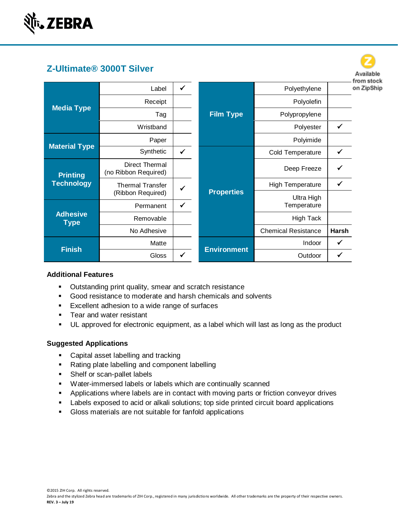

|                                      | Z-Ultimate® 3000T Silver                      |   |                    |                            |       | Available                |
|--------------------------------------|-----------------------------------------------|---|--------------------|----------------------------|-------|--------------------------|
| <b>Media Type</b>                    | Label                                         | ✓ |                    | Polyethylene               |       | from stock<br>on ZipShip |
|                                      | Receipt                                       |   |                    | Polyolefin                 |       |                          |
|                                      | Tag                                           |   | <b>Film Type</b>   | Polypropylene              |       |                          |
|                                      | Wristband                                     |   |                    | Polyester                  |       |                          |
|                                      | Paper                                         |   |                    | Polyimide                  |       |                          |
| <b>Material Type</b>                 | Synthetic                                     | ✓ |                    | Cold Temperature           |       |                          |
| <b>Printing</b><br><b>Technology</b> | <b>Direct Thermal</b><br>(no Ribbon Required) |   |                    | Deep Freeze                |       |                          |
|                                      | <b>Thermal Transfer</b>                       |   |                    | High Temperature           | ✔     |                          |
|                                      | (Ribbon Required)                             |   | <b>Properties</b>  | Ultra High                 |       |                          |
| <b>Adhesive</b><br><b>Type</b>       | Permanent                                     | ✓ |                    | Temperature                |       |                          |
|                                      | Removable                                     |   |                    | High Tack                  |       |                          |
|                                      | No Adhesive                                   |   |                    | <b>Chemical Resistance</b> | Harsh |                          |
|                                      | Matte                                         |   |                    | Indoor                     |       |                          |
| <b>Finish</b>                        | Gloss                                         |   | <b>Environment</b> | Outdoor                    |       |                          |

#### **Additional Features**

- Outstanding print quality, smear and scratch resistance
- Good resistance to moderate and harsh chemicals and solvents
- Excellent adhesion to a wide range of surfaces
- Tear and water resistant
- UL approved for electronic equipment, as a label which will last as long as the product

#### **Suggested Applications**

- Capital asset labelling and tracking
- Rating plate labelling and component labelling
- Shelf or scan-pallet labels
- Water-immersed labels or labels which are continually scanned
- Applications where labels are in contact with moving parts or friction conveyor drives
- Labels exposed to acid or alkali solutions; top side printed circuit board applications
- Gloss materials are not suitable for fanfold applications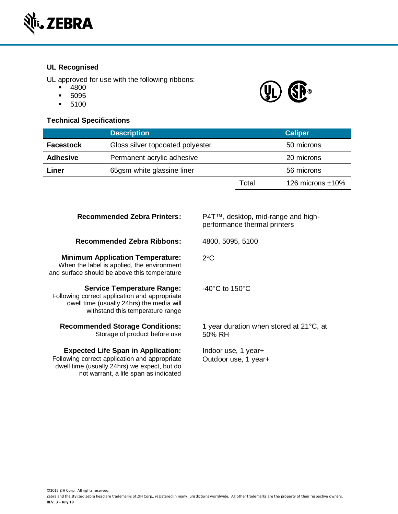

# **UL Recognised**

UL approved for use with the following ribbons:

- 4800
- 5095
- 5100

# **Technical Specifications**



|                  | <b>Description</b>               |            | <b>Caliper</b>      |
|------------------|----------------------------------|------------|---------------------|
| <b>Facestock</b> | Gloss silver topcoated polyester |            | 50 microns          |
| <b>Adhesive</b>  | Permanent acrylic adhesive       | 20 microns |                     |
| Liner            | 65gsm white glassine liner       |            | 56 microns          |
|                  |                                  | Total      | 126 microns $±10\%$ |

| <b>Recommended Zebra Printers:</b>                                                                                                                                                  | P4T™, desktop, mid-range and high-<br>performance thermal printers |
|-------------------------------------------------------------------------------------------------------------------------------------------------------------------------------------|--------------------------------------------------------------------|
| <b>Recommended Zebra Ribbons:</b>                                                                                                                                                   | 4800, 5095, 5100                                                   |
| <b>Minimum Application Temperature:</b><br>When the label is applied, the environment<br>and surface should be above this temperature                                               | $2^{\circ}$ C                                                      |
| <b>Service Temperature Range:</b><br>Following correct application and appropriate<br>dwell time (usually 24hrs) the media will<br>withstand this temperature range                 | -40 $\degree$ C to 150 $\degree$ C                                 |
| <b>Recommended Storage Conditions:</b><br>Storage of product before use                                                                                                             | 1 year duration when stored at $21^{\circ}$ C, at<br>50% RH        |
| <b>Expected Life Span in Application:</b><br>Following correct application and appropriate<br>dwell time (usually 24hrs) we expect, but do<br>not warrant, a life span as indicated | Indoor use, 1 year+<br>Outdoor use, 1 year+                        |

©2015 ZIH Corp. All rights reserved.